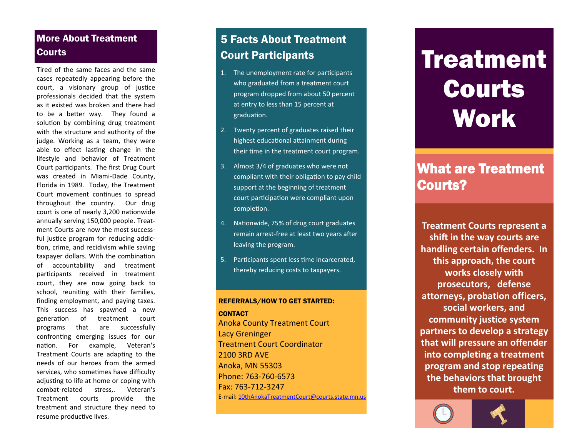# More About Treatment Courts

Tired of the same faces and the same cases repeatedly appearing before the court, a visionary group of justice professionals decided that the system as it existed was broken and there had to be a better way. They found a solution by combining drug treatment with the structure and authority of the judge. Working as a team, they were able to effect lasting change in the lifestyle and behavior of Treatment Court participants. The first Drug Court was created in Miami -Dade County, Florida in 1989. Today, the Treatment Court movement continues to spread throughout the country. Our drug court is one of nearly 3,200 nationwide annually serving 150,000 people. Treatment Courts are now the most successful justice program for reducing addiction, crime, and recidivism while saving taxpayer dollars. With the combination of accountability and treatment participants received in treatment court, they are now going back to school, reuniting with their families, finding employment, and paying taxes. This success has spawned a new generation of treatment court programs that are successfully confronting emerging issues for our nation. For example, Veteran's Treatment Courts are adapting to the needs of our heroes from the armed services, who sometimes have difficulty adjusting to life at home or coping with combat stress.. Veteran's Treatment courts provide the treatment and structure they need to resume productive lives.

# 5 Facts About Treatment Court Participants

- 1. The unemployment rate for participants who graduated from a treatment court program dropped from about 50 percent at entry to less than 15 percent at graduation.
- 2. Twenty percent of graduates raised their highest educational attainment during their time in the treatment court program.
- 3. Almost 3/4 of graduates who were not compliant with their obligation to pay child support at the beginning of treatment court participation were compliant upon completion.
- 4. Nationwide, 75% of drug court graduates remain arrest -free at least two years after leaving the program.
- 5. Participants spent less time incarcerated, thereby reducing costs to taxpayers.

#### REFERRALS/HOW TO GET STARTED:

**CONTACT** Anoka County Treatment Court Lacy Greninger Treatment Court Coordinator 2100 3RD AVE Anoka , MN 55303 Phone: 763 -760-6573 Fax: 763 -712-3247 E -mail: 1[0thAnokaTreatmentCourt](mailto:megan.moreau@courts.state.mn.us)@courts.state.mn.us

# **Treatment** Courts **Work**

# What are Treatment Courts?

**Treatment Courts represent a shift in the way courts are handling certain offenders. In this approach, the court works closely with prosecutors, defense attorneys, probation officers, social workers, and community justice system partners to develop a strategy that will pressure an offender into completing a treatment program and stop repeating the behaviors that brought them to court.**